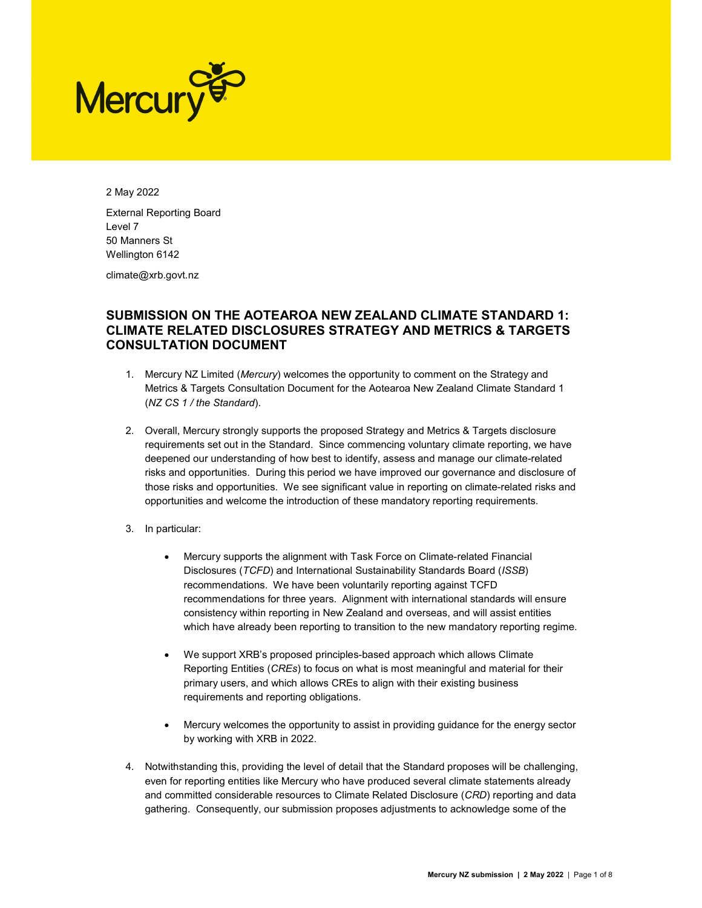

2 May 2022 External Reporting Board Level 7 50 Manners St Wellington 6142

climate@xrb.govt.nz

# SUBMISSION ON THE AOTEAROA NEW ZEALAND CLIMATE STANDARD 1: CLIMATE RELATED DISCLOSURES STRATEGY AND METRICS & TARGETS CONSULTATION DOCUMENT

- 1. Mercury NZ Limited (Mercury) welcomes the opportunity to comment on the Strategy and Metrics & Targets Consultation Document for the Aotearoa New Zealand Climate Standard 1 (NZ CS 1 / the Standard).
- 2. Overall, Mercury strongly supports the proposed Strategy and Metrics & Targets disclosure requirements set out in the Standard. Since commencing voluntary climate reporting, we have deepened our understanding of how best to identify, assess and manage our climate-related risks and opportunities. During this period we have improved our governance and disclosure of those risks and opportunities. We see significant value in reporting on climate-related risks and opportunities and welcome the introduction of these mandatory reporting requirements.
- 3. In particular:
	- Mercury supports the alignment with Task Force on Climate-related Financial Disclosures (TCFD) and International Sustainability Standards Board (ISSB) recommendations. We have been voluntarily reporting against TCFD recommendations for three years. Alignment with international standards will ensure consistency within reporting in New Zealand and overseas, and will assist entities which have already been reporting to transition to the new mandatory reporting regime.
	- We support XRB's proposed principles-based approach which allows Climate Reporting Entities (CREs) to focus on what is most meaningful and material for their primary users, and which allows CREs to align with their existing business requirements and reporting obligations.
	- Mercury welcomes the opportunity to assist in providing guidance for the energy sector by working with XRB in 2022.
- 4. Notwithstanding this, providing the level of detail that the Standard proposes will be challenging, even for reporting entities like Mercury who have produced several climate statements already and committed considerable resources to Climate Related Disclosure (CRD) reporting and data gathering. Consequently, our submission proposes adjustments to acknowledge some of the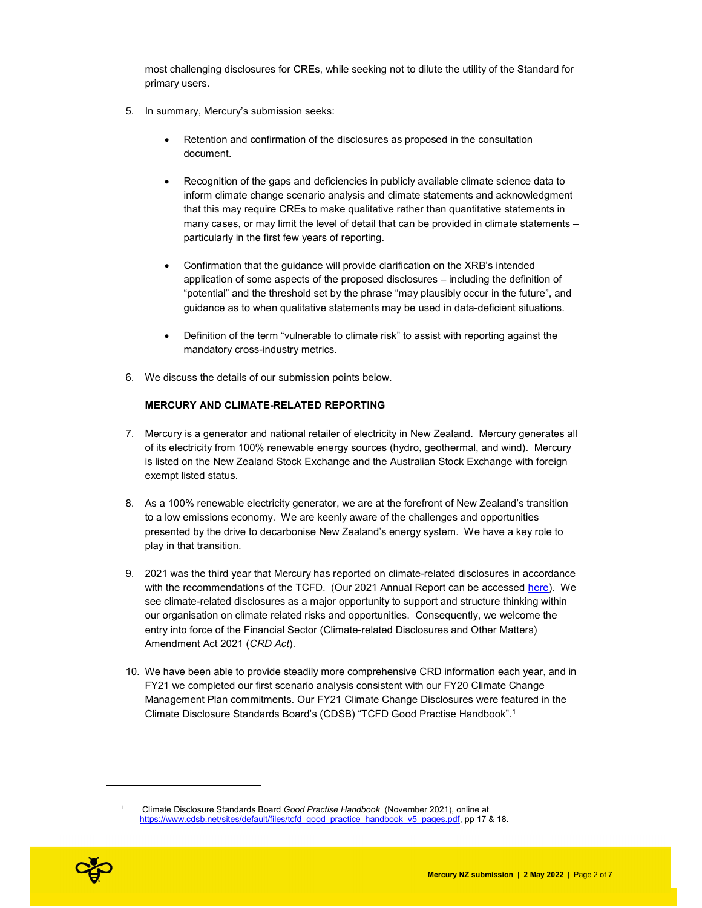most challenging disclosures for CREs, while seeking not to dilute the utility of the Standard for primary users.

- 5. In summary, Mercury's submission seeks:
	- Retention and confirmation of the disclosures as proposed in the consultation document.
	- Recognition of the gaps and deficiencies in publicly available climate science data to inform climate change scenario analysis and climate statements and acknowledgment that this may require CREs to make qualitative rather than quantitative statements in many cases, or may limit the level of detail that can be provided in climate statements – particularly in the first few years of reporting.
	- Confirmation that the guidance will provide clarification on the XRB's intended application of some aspects of the proposed disclosures – including the definition of "potential" and the threshold set by the phrase "may plausibly occur in the future", and guidance as to when qualitative statements may be used in data-deficient situations.
	- Definition of the term "vulnerable to climate risk" to assist with reporting against the mandatory cross-industry metrics.
- 6. We discuss the details of our submission points below.

## MERCURY AND CLIMATE-RELATED REPORTING

- 7. Mercury is a generator and national retailer of electricity in New Zealand. Mercury generates all of its electricity from 100% renewable energy sources (hydro, geothermal, and wind). Mercury is listed on the New Zealand Stock Exchange and the Australian Stock Exchange with foreign exempt listed status.
- 8. As a 100% renewable electricity generator, we are at the forefront of New Zealand's transition to a low emissions economy. We are keenly aware of the challenges and opportunities presented by the drive to decarbonise New Zealand's energy system. We have a key role to play in that transition.
- 9. 2021 was the third year that Mercury has reported on climate-related disclosures in accordance with the recommendations of the TCFD. (Our 2021 Annual Report can be accessed here). We see climate-related disclosures as a major opportunity to support and structure thinking within our organisation on climate related risks and opportunities. Consequently, we welcome the entry into force of the Financial Sector (Climate-related Disclosures and Other Matters) Amendment Act 2021 (CRD Act).
- 10. We have been able to provide steadily more comprehensive CRD information each year, and in FY21 we completed our first scenario analysis consistent with our FY20 Climate Change Management Plan commitments. Our FY21 Climate Change Disclosures were featured in the Climate Disclosure Standards Board's (CDSB) "TCFD Good Practise Handbook".<sup>1</sup>

<sup>1</sup> Climate Disclosure Standards Board Good Practise Handbook (November 2021), online at https://www.cdsb.net/sites/default/files/tcfd\_good\_practice\_handbook\_v5\_pages.pdf, pp 17 & 18.



i<br>I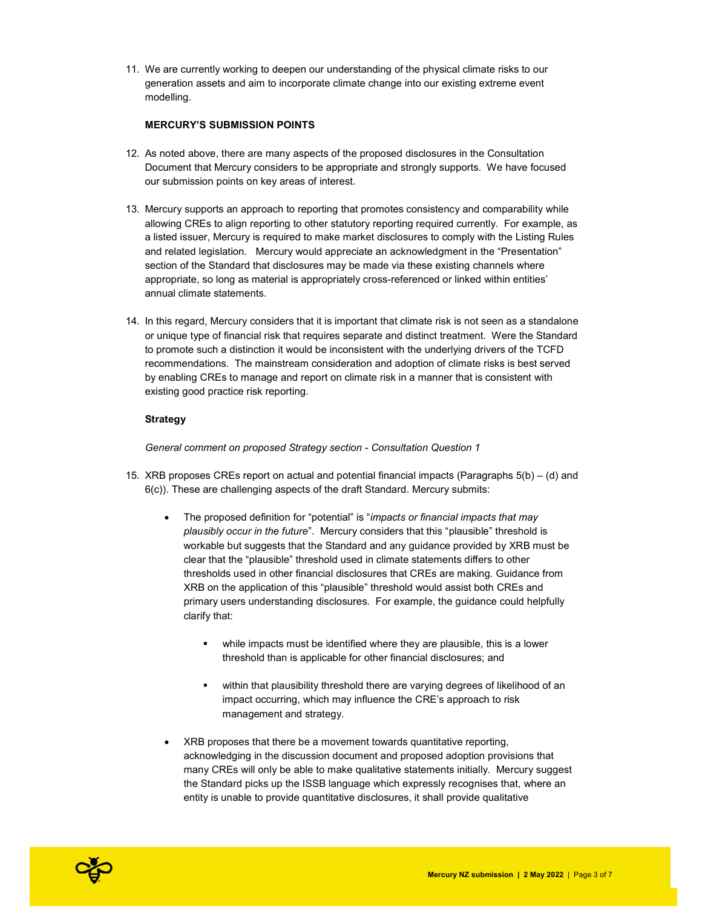11. We are currently working to deepen our understanding of the physical climate risks to our generation assets and aim to incorporate climate change into our existing extreme event modelling.

## MERCURY'S SUBMISSION POINTS

- 12. As noted above, there are many aspects of the proposed disclosures in the Consultation Document that Mercury considers to be appropriate and strongly supports. We have focused our submission points on key areas of interest.
- 13. Mercury supports an approach to reporting that promotes consistency and comparability while allowing CREs to align reporting to other statutory reporting required currently. For example, as a listed issuer, Mercury is required to make market disclosures to comply with the Listing Rules and related legislation. Mercury would appreciate an acknowledgment in the "Presentation" section of the Standard that disclosures may be made via these existing channels where appropriate, so long as material is appropriately cross-referenced or linked within entities' annual climate statements.
- 14. In this regard, Mercury considers that it is important that climate risk is not seen as a standalone or unique type of financial risk that requires separate and distinct treatment. Were the Standard to promote such a distinction it would be inconsistent with the underlying drivers of the TCFD recommendations. The mainstream consideration and adoption of climate risks is best served by enabling CREs to manage and report on climate risk in a manner that is consistent with existing good practice risk reporting.

## Strategy

General comment on proposed Strategy section - Consultation Question 1

- 15. XRB proposes CREs report on actual and potential financial impacts (Paragraphs 5(b) (d) and 6(c)). These are challenging aspects of the draft Standard. Mercury submits:
	- The proposed definition for "potential" is "impacts or financial impacts that may plausibly occur in the future". Mercury considers that this "plausible" threshold is workable but suggests that the Standard and any guidance provided by XRB must be clear that the "plausible" threshold used in climate statements differs to other thresholds used in other financial disclosures that CREs are making. Guidance from XRB on the application of this "plausible" threshold would assist both CREs and primary users understanding disclosures. For example, the guidance could helpfully clarify that:
		- while impacts must be identified where they are plausible, this is a lower threshold than is applicable for other financial disclosures; and
		- **•** within that plausibility threshold there are varying degrees of likelihood of an impact occurring, which may influence the CRE's approach to risk management and strategy.
	- XRB proposes that there be a movement towards quantitative reporting, acknowledging in the discussion document and proposed adoption provisions that many CREs will only be able to make qualitative statements initially. Mercury suggest the Standard picks up the ISSB language which expressly recognises that, where an entity is unable to provide quantitative disclosures, it shall provide qualitative

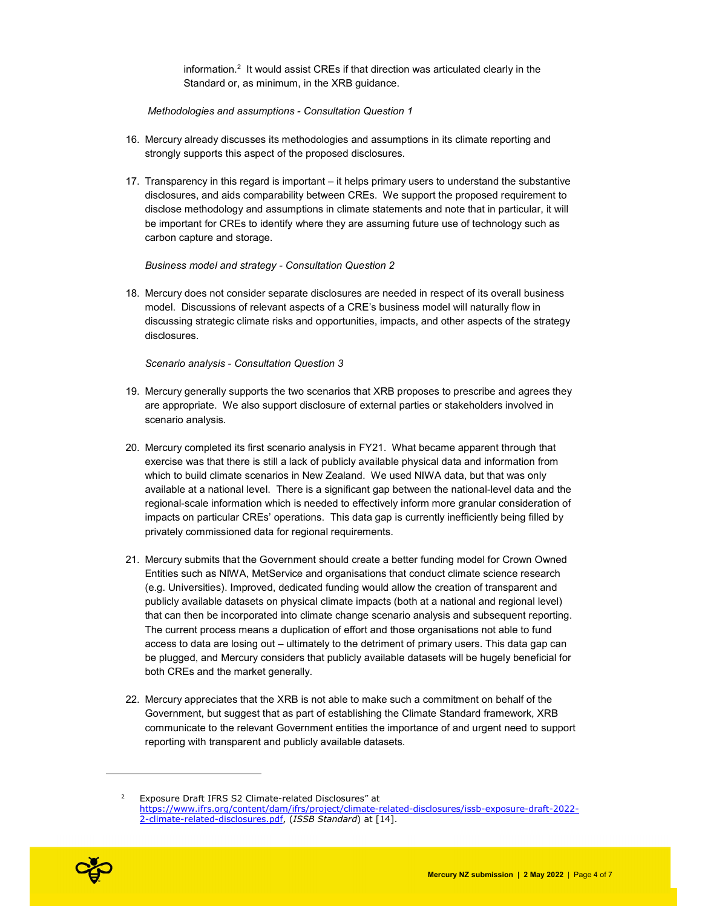information.<sup>2</sup> It would assist CREs if that direction was articulated clearly in the Standard or, as minimum, in the XRB guidance.

Methodologies and assumptions - Consultation Question 1

- 16. Mercury already discusses its methodologies and assumptions in its climate reporting and strongly supports this aspect of the proposed disclosures.
- 17. Transparency in this regard is important it helps primary users to understand the substantive disclosures, and aids comparability between CREs. We support the proposed requirement to disclose methodology and assumptions in climate statements and note that in particular, it will be important for CREs to identify where they are assuming future use of technology such as carbon capture and storage.

Business model and strategy - Consultation Question 2

18. Mercury does not consider separate disclosures are needed in respect of its overall business model. Discussions of relevant aspects of a CRE's business model will naturally flow in discussing strategic climate risks and opportunities, impacts, and other aspects of the strategy disclosures.

Scenario analysis - Consultation Question 3

- 19. Mercury generally supports the two scenarios that XRB proposes to prescribe and agrees they are appropriate. We also support disclosure of external parties or stakeholders involved in scenario analysis.
- 20. Mercury completed its first scenario analysis in FY21. What became apparent through that exercise was that there is still a lack of publicly available physical data and information from which to build climate scenarios in New Zealand. We used NIWA data, but that was only available at a national level. There is a significant gap between the national-level data and the regional-scale information which is needed to effectively inform more granular consideration of impacts on particular CREs' operations. This data gap is currently inefficiently being filled by privately commissioned data for regional requirements.
- 21. Mercury submits that the Government should create a better funding model for Crown Owned Entities such as NIWA, MetService and organisations that conduct climate science research (e.g. Universities). Improved, dedicated funding would allow the creation of transparent and publicly available datasets on physical climate impacts (both at a national and regional level) that can then be incorporated into climate change scenario analysis and subsequent reporting. The current process means a duplication of effort and those organisations not able to fund access to data are losing out – ultimately to the detriment of primary users. This data gap can be plugged, and Mercury considers that publicly available datasets will be hugely beneficial for both CREs and the market generally.
- 22. Mercury appreciates that the XRB is not able to make such a commitment on behalf of the Government, but suggest that as part of establishing the Climate Standard framework, XRB communicate to the relevant Government entities the importance of and urgent need to support reporting with transparent and publicly available datasets.

<sup>2</sup> Exposure Draft IFRS S2 Climate-related Disclosures" at https://www.ifrs.org/content/dam/ifrs/project/climate-related-disclosures/issb-exposure-draft-2022- 2-climate-related-disclosures.pdf, (ISSB Standard) at [14].



i<br>I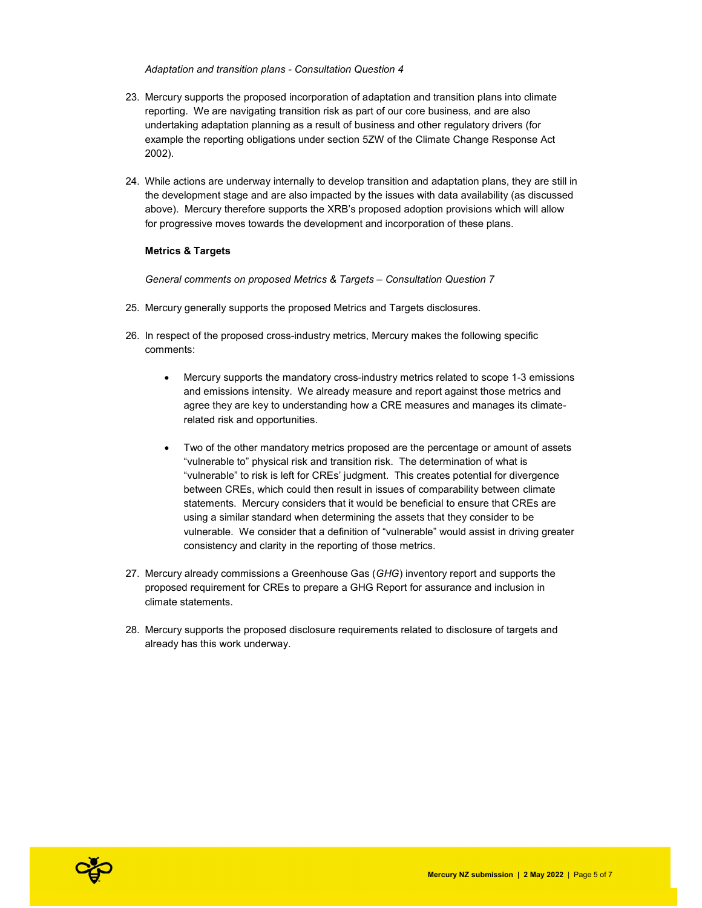#### Adaptation and transition plans - Consultation Question 4

- 23. Mercury supports the proposed incorporation of adaptation and transition plans into climate reporting. We are navigating transition risk as part of our core business, and are also undertaking adaptation planning as a result of business and other regulatory drivers (for example the reporting obligations under section 5ZW of the Climate Change Response Act 2002).
- 24. While actions are underway internally to develop transition and adaptation plans, they are still in the development stage and are also impacted by the issues with data availability (as discussed above). Mercury therefore supports the XRB's proposed adoption provisions which will allow for progressive moves towards the development and incorporation of these plans.

#### Metrics & Targets

General comments on proposed Metrics & Targets – Consultation Question 7

- 25. Mercury generally supports the proposed Metrics and Targets disclosures.
- 26. In respect of the proposed cross-industry metrics, Mercury makes the following specific comments:
	- Mercury supports the mandatory cross-industry metrics related to scope 1-3 emissions and emissions intensity. We already measure and report against those metrics and agree they are key to understanding how a CRE measures and manages its climaterelated risk and opportunities.
	- Two of the other mandatory metrics proposed are the percentage or amount of assets "vulnerable to" physical risk and transition risk. The determination of what is "vulnerable" to risk is left for CREs' judgment. This creates potential for divergence between CREs, which could then result in issues of comparability between climate statements. Mercury considers that it would be beneficial to ensure that CREs are using a similar standard when determining the assets that they consider to be vulnerable. We consider that a definition of "vulnerable" would assist in driving greater consistency and clarity in the reporting of those metrics.
- 27. Mercury already commissions a Greenhouse Gas (GHG) inventory report and supports the proposed requirement for CREs to prepare a GHG Report for assurance and inclusion in climate statements.
- 28. Mercury supports the proposed disclosure requirements related to disclosure of targets and already has this work underway.

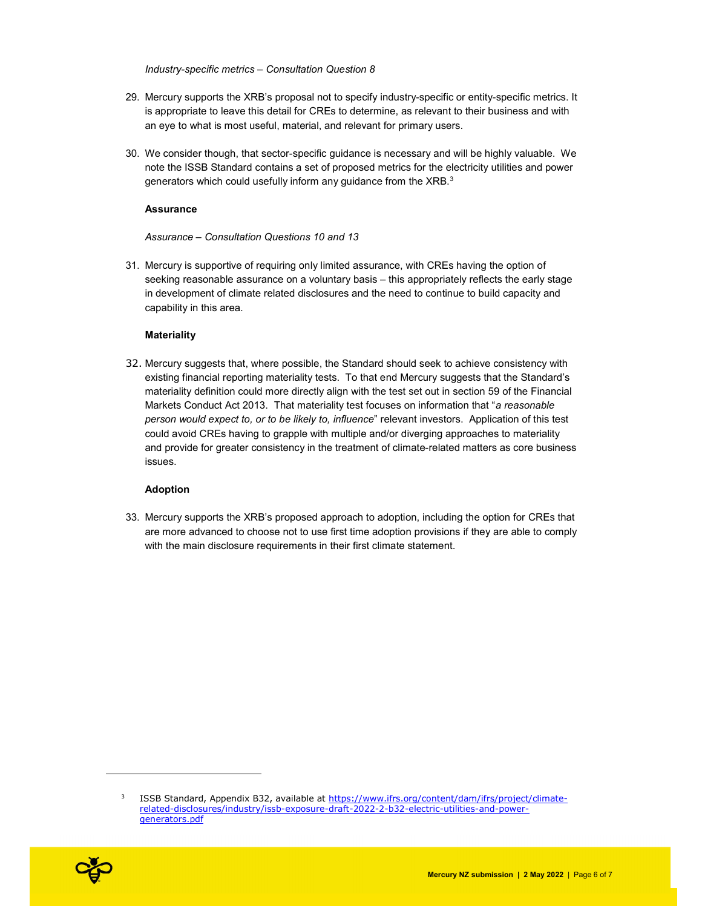Industry-specific metrics – Consultation Question 8

- 29. Mercury supports the XRB's proposal not to specify industry-specific or entity-specific metrics. It is appropriate to leave this detail for CREs to determine, as relevant to their business and with an eye to what is most useful, material, and relevant for primary users.
- 30. We consider though, that sector-specific guidance is necessary and will be highly valuable. We note the ISSB Standard contains a set of proposed metrics for the electricity utilities and power generators which could usefully inform any guidance from the XRB. $^3$

#### Assurance

## Assurance – Consultation Questions 10 and 13

31. Mercury is supportive of requiring only limited assurance, with CREs having the option of seeking reasonable assurance on a voluntary basis – this appropriately reflects the early stage in development of climate related disclosures and the need to continue to build capacity and capability in this area.

## **Materiality**

32. Mercury suggests that, where possible, the Standard should seek to achieve consistency with existing financial reporting materiality tests. To that end Mercury suggests that the Standard's materiality definition could more directly align with the test set out in section 59 of the Financial Markets Conduct Act 2013. That materiality test focuses on information that "a reasonable person would expect to, or to be likely to, influence" relevant investors. Application of this test could avoid CREs having to grapple with multiple and/or diverging approaches to materiality and provide for greater consistency in the treatment of climate-related matters as core business issues.

## Adoption

33. Mercury supports the XRB's proposed approach to adoption, including the option for CREs that are more advanced to choose not to use first time adoption provisions if they are able to comply with the main disclosure requirements in their first climate statement.

<sup>3</sup> ISSB Standard, Appendix B32, available at https://www.ifrs.org/content/dam/ifrs/project/climaterelated-disclosures/industry/issb-exposure-draft-2022-2-b32-electric-utilities-and-powergenerators.pdf



i<br>I